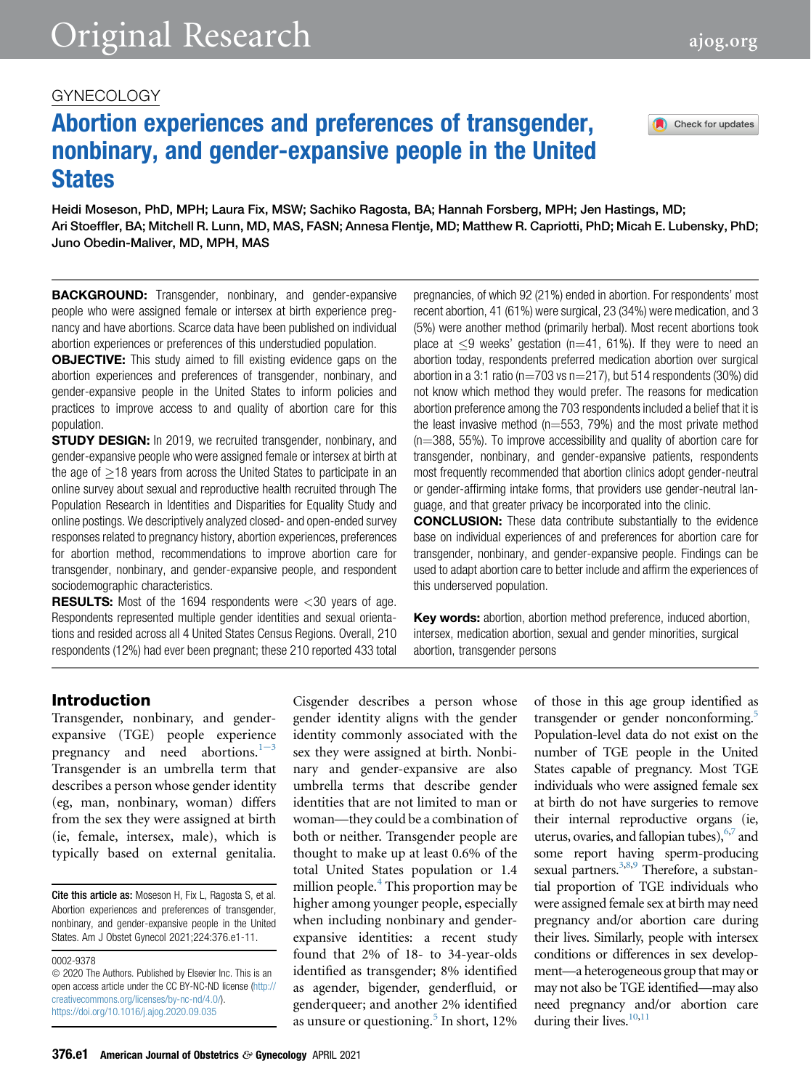## GYNECOLOGY

# Abortion experiences and preferences of transgender, nonbinary, and gender-expansive people in the United **States**

Heidi Moseson, PhD, MPH; Laura Fix, MSW; Sachiko Ragosta, BA; Hannah Forsberg, MPH; Jen Hastings, MD; Ari Stoeffler, BA; Mitchell R. Lunn, MD, MAS, FASN; Annesa Flentje, MD; Matthew R. Capriotti, PhD; Micah E. Lubensky, PhD; Juno Obedin-Maliver, MD, MPH, MAS

**BACKGROUND:** Transgender, nonbinary, and gender-expansive people who were assigned female or intersex at birth experience pregnancy and have abortions. Scarce data have been published on individual abortion experiences or preferences of this understudied population.

**OBJECTIVE:** This study aimed to fill existing evidence gaps on the abortion experiences and preferences of transgender, nonbinary, and gender-expansive people in the United States to inform policies and practices to improve access to and quality of abortion care for this population.

**STUDY DESIGN:** In 2019, we recruited transgender, nonbinary, and gender-expansive people who were assigned female or intersex at birth at the age of  $>18$  years from across the United States to participate in an online survey about sexual and reproductive health recruited through The Population Research in Identities and Disparities for Equality Study and online postings. We descriptively analyzed closed- and open-ended survey responses related to pregnancy history, abortion experiences, preferences for abortion method, recommendations to improve abortion care for transgender, nonbinary, and gender-expansive people, and respondent sociodemographic characteristics.

**RESULTS:** Most of the 1694 respondents were  $\lt$ 30 years of age. Respondents represented multiple gender identities and sexual orientations and resided across all 4 United States Census Regions. Overall, 210 respondents (12%) had ever been pregnant; these 210 reported 433 total pregnancies, of which 92 (21%) ended in abortion. For respondents' most recent abortion, 41 (61%) were surgical, 23 (34%) were medication, and 3 (5%) were another method (primarily herbal). Most recent abortions took place at  $\leq$ 9 weeks' gestation (n=41, 61%). If they were to need an abortion today, respondents preferred medication abortion over surgical abortion in a 3:1 ratio ( $n=703$  vs  $n=217$ ), but 514 respondents (30%) did not know which method they would prefer. The reasons for medication abortion preference among the 703 respondents included a belief that it is the least invasive method ( $n=553$ , 79%) and the most private method  $(n=388, 55%)$ . To improve accessibility and quality of abortion care for transgender, nonbinary, and gender-expansive patients, respondents most frequently recommended that abortion clinics adopt gender-neutral or gender-affirming intake forms, that providers use gender-neutral language, and that greater privacy be incorporated into the clinic.

CONCLUSION: These data contribute substantially to the evidence base on individual experiences of and preferences for abortion care for transgender, nonbinary, and gender-expansive people. Findings can be used to adapt abortion care to better include and affirm the experiences of this underserved population.

Key words: abortion, abortion method preference, induced abortion, intersex, medication abortion, sexual and gender minorities, surgical abortion, transgender persons

## Introduction

Transgender, nonbinary, and genderexpansive (TGE) people experience pr[e](#page-8-0)gnancy and need abortions. $1-3$ Transgender is an umbrella term that describes a person whose gender identity (eg, man, nonbinary, woman) differs from the sex they were assigned at birth (ie, female, intersex, male), which is typically based on external genitalia.

Cite this article as: Moseson H, Fix L, Ragosta S, et al. Abortion experiences and preferences of transgender, nonbinary, and gender-expansive people in the United States. Am J Obstet Gynecol 2021;224:376.e1-11.

0002-9378

 $\odot$  2020 The Authors. Published by Elsevier Inc. This is an open access article under the CC BY-NC-ND license ([http://](http://creativecommons.org/licenses/by-nc-nd/4.0/) [creativecommons.org/licenses/by-nc-nd/4.0/\)](http://creativecommons.org/licenses/by-nc-nd/4.0/). <https://doi.org/10.1016/j.ajog.2020.09.035>

Cisgender describes a person whose gender identity aligns with the gender identity commonly associated with the sex they were assigned at birth. Nonbinary and gender-expansive are also umbrella terms that describe gender identities that are not limited to man or woman—they could be a combination of both or neither. Transgender people are thought to make up at least 0.6% of the total United States population or 1.4 million people.<sup>[4](#page-9-0)</sup> This proportion may be higher among younger people, especially when including nonbinary and genderexpansive identities: a recent study found that 2% of 18- to 34-year-olds identified as transgender; 8% identified as agender, bigender, genderfluid, or genderqueer; and another 2% identified as unsure or questioning.<sup>[5](#page-9-1)</sup> In short,  $12\%$ 

of those in this age group identified as transgender or gender nonconforming.<sup>5</sup> Population-level data do not exist on the number of TGE people in the United States capable of pregnancy. Most TGE individuals who were assigned female sex at birth do not have surgeries to remove their internal reproductive organs (ie, uterus, ovaries, and fallopian tubes),  $6,7$  $6,7$  and some report having sperm-producing sexual partners. $3,8,9$  $3,8,9$  $3,8,9$  $3,8,9$  $3,8,9$  Therefore, a substantial proportion of TGE individuals who were assigned female sex at birth may need pregnancy and/or abortion care during their lives. Similarly, people with intersex conditions or differences in sex development—a heterogeneous group that may or may not also be TGE identified—may also need pregnancy and/or abortion care during their lives.<sup>[10](#page-9-7)[,11](#page-9-8)</sup>



Check for updates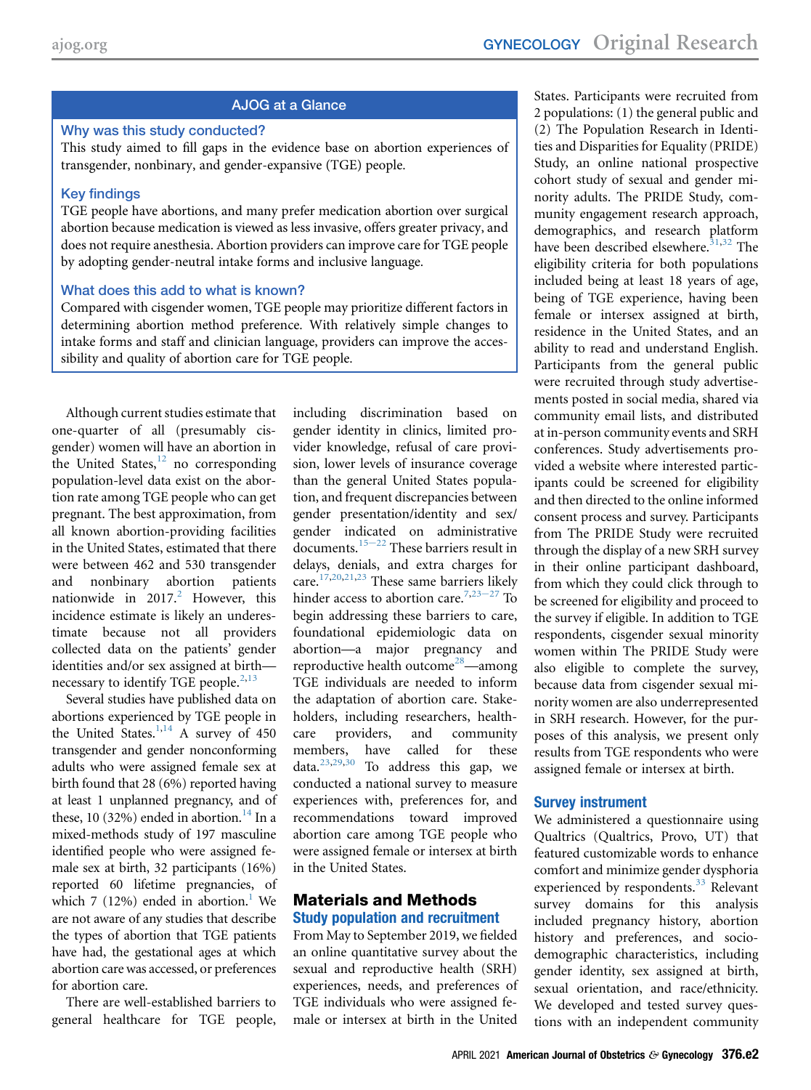## AJOG at a Glance

#### Why was this study conducted?

This study aimed to fill gaps in the evidence base on abortion experiences of transgender, nonbinary, and gender-expansive (TGE) people.

#### Key findings

TGE people have abortions, and many prefer medication abortion over surgical abortion because medication is viewed as less invasive, offers greater privacy, and does not require anesthesia. Abortion providers can improve care for TGE people by adopting gender-neutral intake forms and inclusive language.

#### What does this add to what is known?

Compared with cisgender women, TGE people may prioritize different factors in determining abortion method preference. With relatively simple changes to intake forms and staff and clinician language, providers can improve the accessibility and quality of abortion care for TGE people.

Although current studies estimate that one-quarter of all (presumably cisgender) women will have an abortion in the United States, $12$  no corresponding population-level data exist on the abortion rate among TGE people who can get pregnant. The best approximation, from all known abortion-providing facilities in the United States, estimated that there were between 462 and 530 transgender and nonbinary abortion patients nationwide in  $2017<sup>2</sup>$  $2017<sup>2</sup>$  However, this incidence estimate is likely an underestimate because not all providers collected data on the patients' gender identities and/or sex assigned at birth necessary to identify TGE people. $2,13$  $2,13$ 

Several studies have published data on abortions experienced by TGE people in the United States. $1,14$  $1,14$  A survey of 450 transgender and gender nonconforming adults who were assigned female sex at birth found that 28 (6%) reported having at least 1 unplanned pregnancy, and of these, 10 (32%) ended in abortion.<sup>14</sup> In a mixed-methods study of 197 masculine identified people who were assigned female sex at birth, 32 participants (16%) reported 60 lifetime pregnancies, of which 7 (12%) ended in abortion.<sup>1</sup> We are not aware of any studies that describe the types of abortion that TGE patients have had, the gestational ages at which abortion care was accessed, or preferences for abortion care.

There are well-established barriers to general healthcare for TGE people, including discrimination based on gender identity in clinics, limited provider knowledge, refusal of care provision, lower levels of insurance coverage than the general United States population, and frequent discrepancies between gender presentation/identity and sex/ gender in[dicate](#page-9-13)d on administrative  $\rm{d}$  documents.<sup>15–22</sup> These barriers result in delays, denials, and extra charges for care.[17,](#page-9-14)[20,](#page-9-15)[21,](#page-9-16)[23](#page-9-17) These same barri[ers lik](#page-9-17)ely hinder access to abortion care.<sup>[7](#page-9-3),23-27</sup> To begin addressing these barriers to care, foundational epidemiologic data on abortion—a major pregnancy and reproductive health outcome<sup>[28](#page-9-18)</sup>—among TGE individuals are needed to inform the adaptation of abortion care. Stakeholders, including researchers, healthcare providers, and community members, have called for these data.[23,](#page-9-17)[29](#page-9-19)[,30](#page-9-20) To address this gap, we conducted a national survey to measure experiences with, preferences for, and recommendations toward improved abortion care among TGE people who were assigned female or intersex at birth in the United States.

#### Materials and Methods Study population and recruitment

From May to September 2019, we fielded an online quantitative survey about the sexual and reproductive health (SRH) experiences, needs, and preferences of TGE individuals who were assigned female or intersex at birth in the United

States. Participants were recruited from 2 populations: (1) the general public and (2) The Population Research in Identities and Disparities for Equality (PRIDE) Study, an online national prospective cohort study of sexual and gender minority adults. The PRIDE Study, community engagement research approach, demographics, and research platform have been described elsewhere. $31,32$  $31,32$  The eligibility criteria for both populations included being at least 18 years of age, being of TGE experience, having been female or intersex assigned at birth, residence in the United States, and an ability to read and understand English. Participants from the general public were recruited through study advertisements posted in social media, shared via community email lists, and distributed at in-person community events and SRH conferences. Study advertisements provided a website where interested participants could be screened for eligibility and then directed to the online informed consent process and survey. Participants from The PRIDE Study were recruited through the display of a new SRH survey in their online participant dashboard, from which they could click through to be screened for eligibility and proceed to the survey if eligible. In addition to TGE respondents, cisgender sexual minority women within The PRIDE Study were also eligible to complete the survey, because data from cisgender sexual minority women are also underrepresented in SRH research. However, for the purposes of this analysis, we present only results from TGE respondents who were assigned female or intersex at birth.

## Survey instrument

We administered a questionnaire using Qualtrics (Qualtrics, Provo, UT) that featured customizable words to enhance comfort and minimize gender dysphoria experienced by respondents.<sup>[33](#page-9-23)</sup> Relevant survey domains for this analysis included pregnancy history, abortion history and preferences, and sociodemographic characteristics, including gender identity, sex assigned at birth, sexual orientation, and race/ethnicity. We developed and tested survey questions with an independent community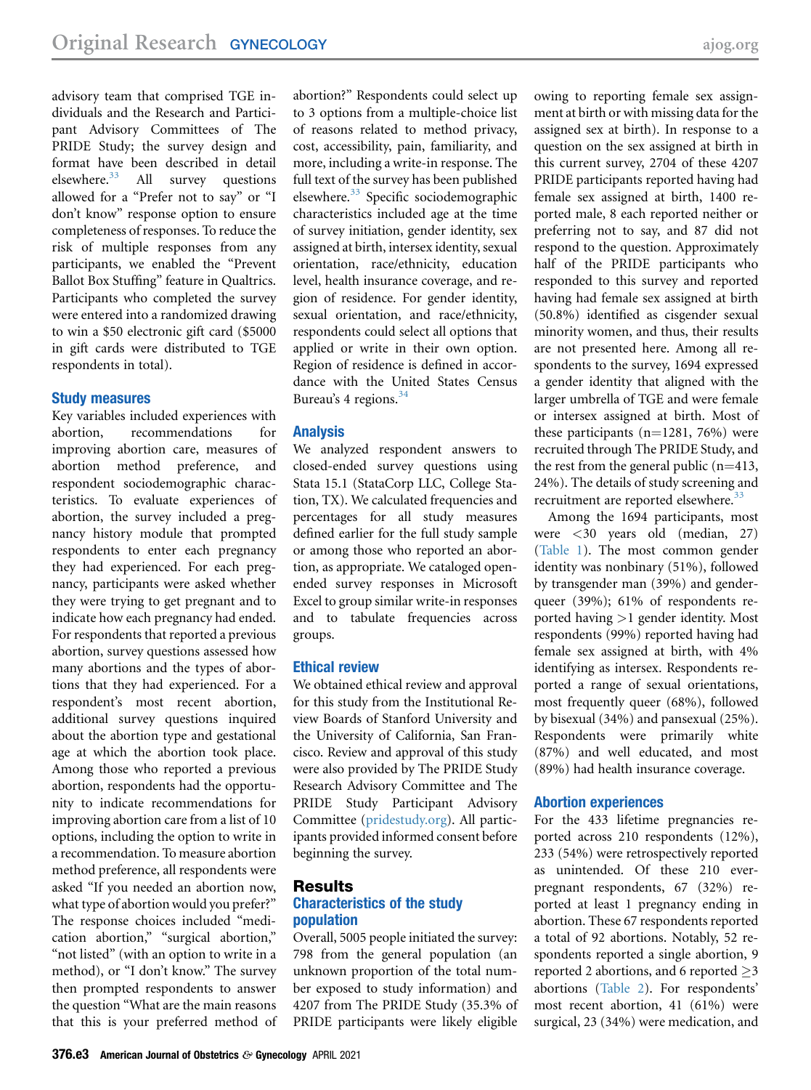advisory team that comprised TGE individuals and the Research and Participant Advisory Committees of The PRIDE Study; the survey design and format have been described in detail<br>elsewhere.<sup>33</sup> All survey questions All survey questions allowed for a "Prefer not to say" or "I don't know" response option to ensure completeness of responses. To reduce the risk of multiple responses from any participants, we enabled the "Prevent Ballot Box Stuffing" feature in Qualtrics. Participants who completed the survey were entered into a randomized drawing to win a \$50 electronic gift card (\$5000 in gift cards were distributed to TGE respondents in total).

#### Study measures

Key variables included experiences with abortion, recommendations for improving abortion care, measures of abortion method preference, and respondent sociodemographic characteristics. To evaluate experiences of abortion, the survey included a pregnancy history module that prompted respondents to enter each pregnancy they had experienced. For each pregnancy, participants were asked whether they were trying to get pregnant and to indicate how each pregnancy had ended. For respondents that reported a previous abortion, survey questions assessed how many abortions and the types of abortions that they had experienced. For a respondent's most recent abortion, additional survey questions inquired about the abortion type and gestational age at which the abortion took place. Among those who reported a previous abortion, respondents had the opportunity to indicate recommendations for improving abortion care from a list of 10 options, including the option to write in a recommendation. To measure abortion method preference, all respondents were asked "If you needed an abortion now, what type of abortion would you prefer?" The response choices included "medication abortion," "surgical abortion," "not listed" (with an option to write in a method), or "I don't know." The survey then prompted respondents to answer the question "What are the main reasons that this is your preferred method of abortion?" Respondents could select up to 3 options from a multiple-choice list of reasons related to method privacy, cost, accessibility, pain, familiarity, and more, including a write-in response. The full text of the survey has been published elsewhere.<sup>[33](#page-9-23)</sup> Specific sociodemographic characteristics included age at the time of survey initiation, gender identity, sex assigned at birth, intersex identity, sexual orientation, race/ethnicity, education level, health insurance coverage, and region of residence. For gender identity, sexual orientation, and race/ethnicity, respondents could select all options that applied or write in their own option. Region of residence is defined in accordance with the United States Census Bureau's 4 regions.<sup>[34](#page-9-24)</sup>

#### Analysis

We analyzed respondent answers to closed-ended survey questions using Stata 15.1 (StataCorp LLC, College Station, TX). We calculated frequencies and percentages for all study measures defined earlier for the full study sample or among those who reported an abortion, as appropriate. We cataloged openended survey responses in Microsoft Excel to group similar write-in responses and to tabulate frequencies across groups.

#### Ethical review

We obtained ethical review and approval for this study from the Institutional Review Boards of Stanford University and the University of California, San Francisco. Review and approval of this study were also provided by The PRIDE Study Research Advisory Committee and The PRIDE Study Participant Advisory Committee ([pridestudy.org](http://pridestudy.org)). All participants provided informed consent before beginning the survey.

#### Results Characteristics of the study population

Overall, 5005 people initiated the survey: 798 from the general population (an unknown proportion of the total number exposed to study information) and 4207 from The PRIDE Study (35.3% of PRIDE participants were likely eligible

owing to reporting female sex assignment at birth or with missing data for the assigned sex at birth). In response to a question on the sex assigned at birth in this current survey, 2704 of these 4207 PRIDE participants reported having had female sex assigned at birth, 1400 reported male, 8 each reported neither or preferring not to say, and 87 did not respond to the question. Approximately half of the PRIDE participants who responded to this survey and reported having had female sex assigned at birth (50.8%) identified as cisgender sexual minority women, and thus, their results are not presented here. Among all respondents to the survey, 1694 expressed a gender identity that aligned with the larger umbrella of TGE and were female or intersex assigned at birth. Most of these participants  $(n=1281, 76%)$  were recruited through The PRIDE Study, and the rest from the general public  $(n=413, 41)$ 24%). The details of study screening and recruitment are reported elsewhere. $3$ 

Among the 1694 participants, most were <30 years old (median, 27) [\(Table 1](#page-3-0)). The most common gender identity was nonbinary (51%), followed by transgender man (39%) and genderqueer (39%); 61% of respondents reported having >1 gender identity. Most respondents (99%) reported having had female sex assigned at birth, with 4% identifying as intersex. Respondents reported a range of sexual orientations, most frequently queer (68%), followed by bisexual (34%) and pansexual (25%). Respondents were primarily white (87%) and well educated, and most (89%) had health insurance coverage.

## Abortion experiences

For the 433 lifetime pregnancies reported across 210 respondents (12%), 233 (54%) were retrospectively reported as unintended. Of these 210 everpregnant respondents, 67 (32%) reported at least 1 pregnancy ending in abortion. These 67 respondents reported a total of 92 abortions. Notably, 52 respondents reported a single abortion, 9 reported 2 abortions, and 6 reported  $\geq$ 3 abortions [\(Table 2\)](#page-6-0). For respondents' most recent abortion, 41 (61%) were surgical, 23 (34%) were medication, and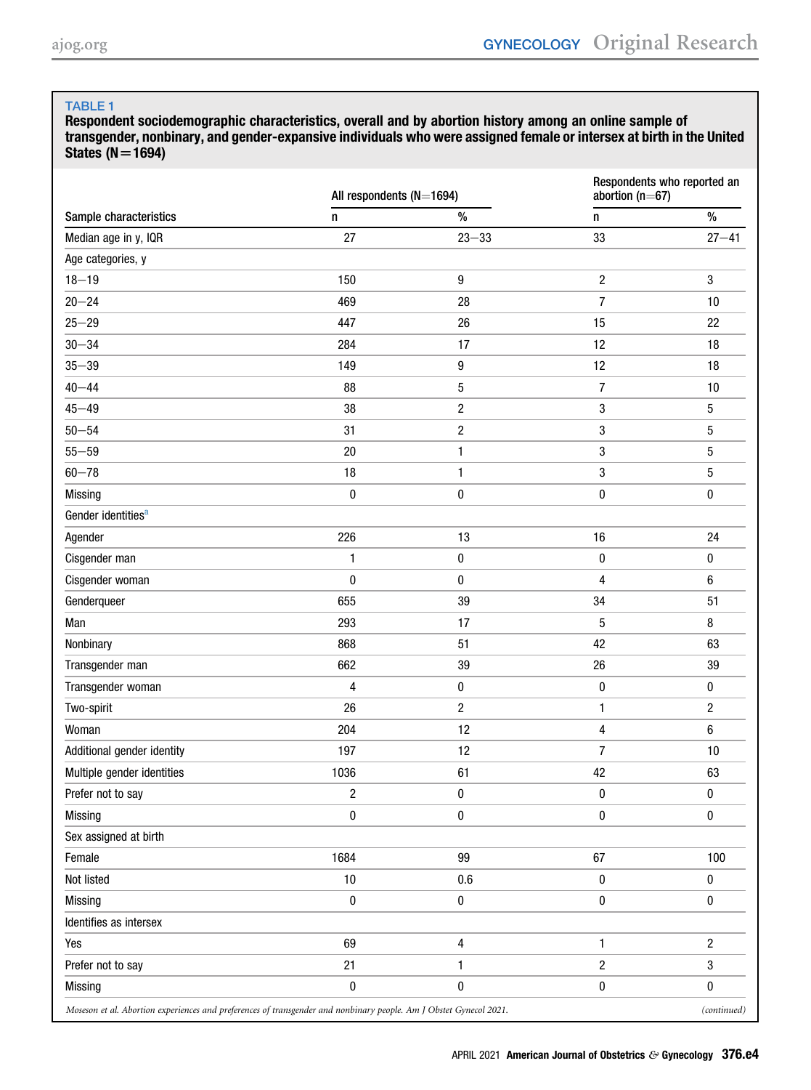<span id="page-3-0"></span>Respondent sociodemographic characteristics, overall and by abortion history among an online sample of transgender, nonbinary, and gender-expansive individuals who were assigned female or intersex at birth in the United States  $(N=1694)$ 

|                                                                                                                    | All respondents (N=1694) |                         | Respondents who reported an<br>abortion ( $n=67$ ) |                  |  |
|--------------------------------------------------------------------------------------------------------------------|--------------------------|-------------------------|----------------------------------------------------|------------------|--|
| Sample characteristics                                                                                             | n                        | $\%$                    | n                                                  | $\%$             |  |
| Median age in y, IQR                                                                                               | 27                       | $23 - 33$               | 33                                                 | $27 - 41$        |  |
| Age categories, y                                                                                                  |                          |                         |                                                    |                  |  |
| $18 - 19$                                                                                                          | 150                      | $\boldsymbol{9}$        | $\sqrt{2}$                                         | 3                |  |
| $20 - 24$                                                                                                          | 469                      | 28                      | 7                                                  | 10               |  |
| $25 - 29$                                                                                                          | 447                      | 26                      | 15                                                 | 22               |  |
| $30 - 34$                                                                                                          | 284                      | 17                      | 12                                                 | 18               |  |
| $35 - 39$                                                                                                          | 149                      | 9                       | 12                                                 | 18               |  |
| $40 - 44$                                                                                                          | 88                       | 5                       | $\overline{7}$                                     | 10               |  |
| $45 - 49$                                                                                                          | 38                       | $\sqrt{2}$              | 3                                                  | $\mathbf 5$      |  |
| $50 - 54$                                                                                                          | 31                       | $\overline{c}$          | 3                                                  | 5                |  |
| $55 - 59$                                                                                                          | 20                       | $\mathbf{1}$            | 3                                                  | 5                |  |
| $60 - 78$                                                                                                          | 18                       | 1                       | 3                                                  | $\mathbf 5$      |  |
| Missing                                                                                                            | $\pmb{0}$                | $\pmb{0}$               | 0                                                  | $\pmb{0}$        |  |
| Gender identities <sup>a</sup>                                                                                     |                          |                         |                                                    |                  |  |
| Agender                                                                                                            | 226                      | 13                      | 16                                                 | 24               |  |
| Cisgender man                                                                                                      | 1                        | $\pmb{0}$               | $\pmb{0}$                                          | $\pmb{0}$        |  |
| Cisgender woman                                                                                                    | $\pmb{0}$                | 0                       | 4                                                  | $\boldsymbol{6}$ |  |
| Genderqueer                                                                                                        | 655                      | 39                      | 34                                                 | 51               |  |
| Man                                                                                                                | 293                      | 17                      | 5                                                  | 8                |  |
| Nonbinary                                                                                                          | 868                      | 51                      | 42                                                 | 63               |  |
| Transgender man                                                                                                    | 662                      | 39                      | 26                                                 | 39               |  |
| Transgender woman                                                                                                  | 4                        | $\pmb{0}$               | $\pmb{0}$                                          | 0                |  |
| Two-spirit                                                                                                         | 26                       | $\overline{c}$          | $\mathbf{1}$                                       | $\sqrt{2}$       |  |
| Woman                                                                                                              | 204                      | 12                      | 4                                                  | $\boldsymbol{6}$ |  |
| Additional gender identity                                                                                         | 197                      | 12                      | $\overline{7}$                                     | 10               |  |
| Multiple gender identities                                                                                         | 1036                     | 61                      | 42                                                 | 63               |  |
| Prefer not to say                                                                                                  | $\overline{\mathbf{c}}$  | 0                       | 0                                                  | 0                |  |
| Missing                                                                                                            | $\pmb{0}$                | $\pmb{0}$               | 0                                                  | 0                |  |
| Sex assigned at birth                                                                                              |                          |                         |                                                    |                  |  |
| Female                                                                                                             | 1684                     | 99                      | 67                                                 | 100              |  |
| Not listed                                                                                                         | $10$                     | 0.6                     | 0                                                  | $\pmb{0}$        |  |
| <b>Missing</b>                                                                                                     | $\pmb{0}$                | $\pmb{0}$               | 0                                                  | $\pmb{0}$        |  |
| Identifies as intersex                                                                                             |                          |                         |                                                    |                  |  |
| Yes                                                                                                                | 69                       | $\overline{\mathbf{4}}$ | 1                                                  | $\sqrt{2}$       |  |
| Prefer not to say                                                                                                  | 21                       | 1                       | $\overline{\mathbf{c}}$                            | 3                |  |
| <b>Missing</b>                                                                                                     | $\pmb{0}$                | $\pmb{0}$               | 0                                                  | $\pmb{0}$        |  |
| Moseson et al. Abortion experiences and preferences of transgender and nonbinary people. Am J Obstet Gynecol 2021. |                          |                         |                                                    |                  |  |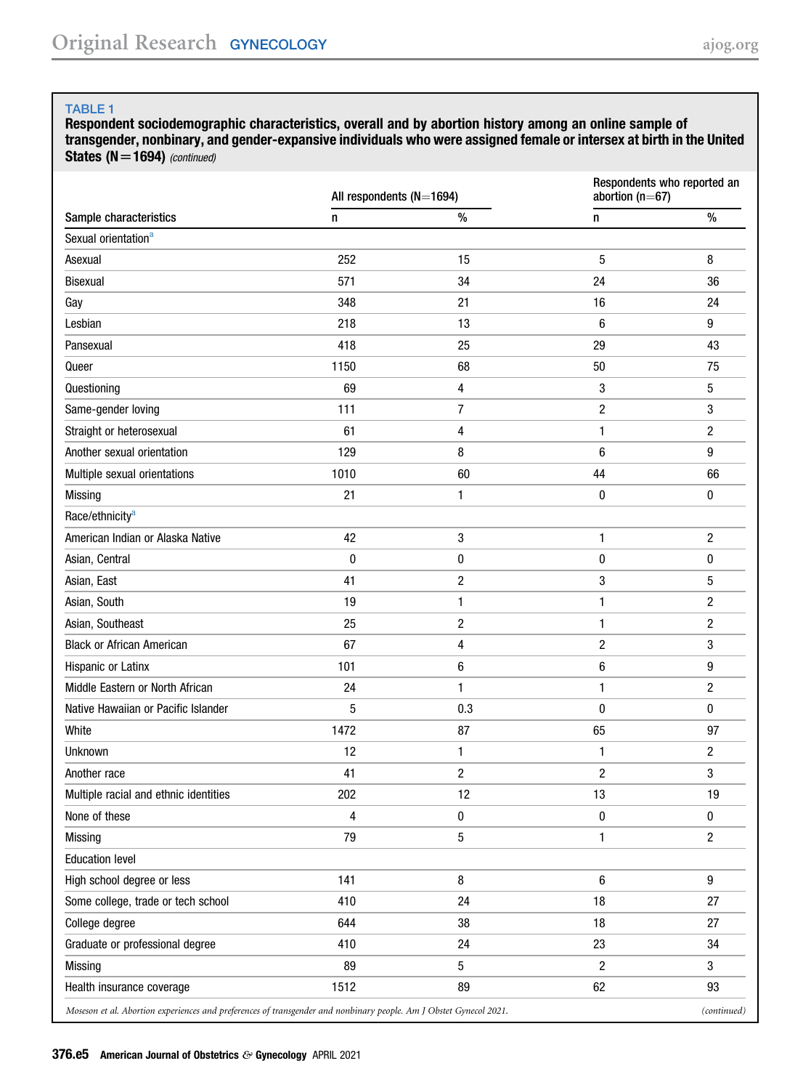Respondent sociodemographic characteristics, overall and by abortion history among an online sample of transgender, nonbinary, and gender-expansive individuals who were assigned female or intersex at birth in the United States  $(N=1694)$  (continued)

|                                                                                                                    | All respondents (N=1694) |                         | Respondents who reported an<br>abortion ( $n=67$ ) |                |  |
|--------------------------------------------------------------------------------------------------------------------|--------------------------|-------------------------|----------------------------------------------------|----------------|--|
| Sample characteristics                                                                                             | n                        | $\%$                    | n                                                  | $\%$           |  |
| Sexual orientation <sup>a</sup>                                                                                    |                          |                         |                                                    |                |  |
| Asexual                                                                                                            | 252                      | 15                      | 5                                                  | 8              |  |
| <b>Bisexual</b>                                                                                                    | 571                      | 34                      | 24                                                 | 36             |  |
| Gay                                                                                                                | 348                      | 21                      | 16                                                 | 24             |  |
| Lesbian                                                                                                            | 218                      | 13                      | 6                                                  | 9              |  |
| Pansexual                                                                                                          | 418                      | 25                      | 29                                                 | 43             |  |
| Queer                                                                                                              | 1150                     | 68                      | 50                                                 | 75             |  |
| Questioning                                                                                                        | 69                       | 4                       | 3                                                  | 5              |  |
| Same-gender loving                                                                                                 | 111                      | 7                       | $\overline{c}$                                     | 3              |  |
| Straight or heterosexual                                                                                           | 61                       | 4                       | 1                                                  | $\overline{c}$ |  |
| Another sexual orientation                                                                                         | 129                      | 8                       | 6                                                  | 9              |  |
| Multiple sexual orientations                                                                                       | 1010                     | 60                      | 44                                                 | 66             |  |
| Missing                                                                                                            | 21                       | 1                       | $\pmb{0}$                                          | $\pmb{0}$      |  |
| Race/ethnicity <sup>a</sup>                                                                                        |                          |                         |                                                    |                |  |
| American Indian or Alaska Native                                                                                   | 42                       | 3                       | 1                                                  | $\sqrt{2}$     |  |
| Asian, Central                                                                                                     | $\bf{0}$                 | 0                       | 0                                                  | 0              |  |
| Asian, East                                                                                                        | 41                       | $\overline{\mathbf{c}}$ | 3                                                  | 5              |  |
| Asian, South                                                                                                       | 19                       | 1                       | 1                                                  | 2              |  |
| Asian, Southeast                                                                                                   | 25                       | $\boldsymbol{2}$        | 1                                                  | 2              |  |
| <b>Black or African American</b>                                                                                   | 67                       | 4                       | $\overline{c}$                                     | 3              |  |
| Hispanic or Latinx                                                                                                 | 101                      | 6                       | 6                                                  | 9              |  |
| Middle Eastern or North African                                                                                    | 24                       | 1                       | 1                                                  | 2              |  |
| Native Hawaiian or Pacific Islander                                                                                | 5                        | 0.3                     | 0                                                  | 0              |  |
| White                                                                                                              | 1472                     | 87                      | 65                                                 | 97             |  |
| Unknown                                                                                                            | 12                       | 1                       | $\mathbf{1}$                                       | $\overline{c}$ |  |
| Another race                                                                                                       | 41                       | $\overline{c}$          | $\overline{c}$                                     | 3              |  |
| Multiple racial and ethnic identities                                                                              | 202                      | 12                      | 13                                                 | 19             |  |
| None of these                                                                                                      | 4                        | 0                       | $\pmb{0}$                                          | 0              |  |
| Missing                                                                                                            | 79                       | 5                       | 1                                                  | $\overline{c}$ |  |
| <b>Education level</b>                                                                                             |                          |                         |                                                    |                |  |
| High school degree or less                                                                                         | 141                      | 8                       | $6\,$                                              | 9              |  |
| Some college, trade or tech school                                                                                 | 410                      | 24                      | 18                                                 | 27             |  |
| College degree                                                                                                     | 644                      | 38                      | 18                                                 | 27             |  |
| Graduate or professional degree                                                                                    | 410                      | 24                      | 23                                                 | 34             |  |
| <b>Missing</b>                                                                                                     | 89                       | 5                       | $\overline{c}$                                     | $\mathbf{3}$   |  |
| Health insurance coverage                                                                                          | 1512                     | 89                      | 62                                                 | 93             |  |
| Moseson et al. Abortion experiences and preferences of transgender and nonbinary people. Am J Obstet Gynecol 2021. |                          |                         |                                                    | (continued)    |  |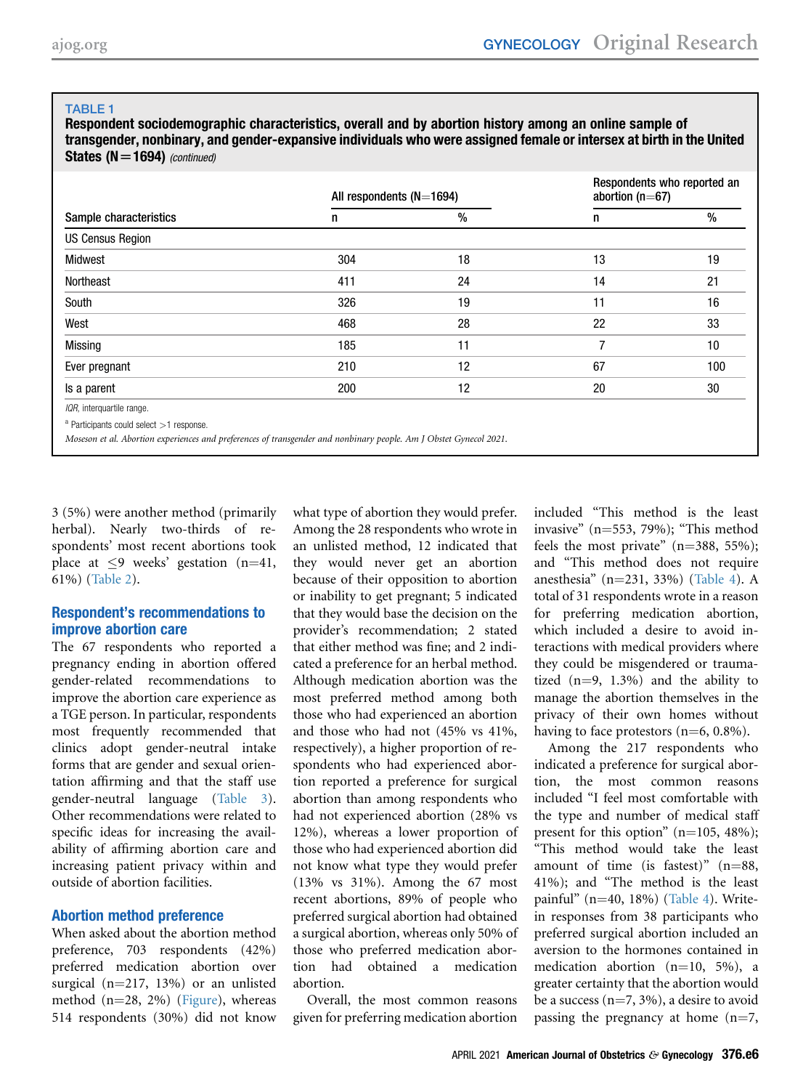#### TABLE<sub>1</sub>

Respondent sociodemographic characteristics, overall and by abortion history among an online sample of transgender, nonbinary, and gender-expansive individuals who were assigned female or intersex at birth in the United States  $(N=1694)$  (continued)

| Sample characteristics                                                                                             |     | All respondents $(N=1694)$ |    | Respondents who reported an<br>abortion ( $n=67$ ) |  |
|--------------------------------------------------------------------------------------------------------------------|-----|----------------------------|----|----------------------------------------------------|--|
|                                                                                                                    | n   | $\%$                       | n  | $\%$                                               |  |
| <b>US Census Region</b>                                                                                            |     |                            |    |                                                    |  |
| Midwest                                                                                                            | 304 | 18                         | 13 | 19                                                 |  |
| Northeast                                                                                                          | 411 | 24                         | 14 | 21                                                 |  |
| South                                                                                                              | 326 | 19                         | 11 | 16                                                 |  |
| West                                                                                                               | 468 | 28                         | 22 | 33                                                 |  |
| Missing                                                                                                            | 185 | 11                         | 7  | 10                                                 |  |
| Ever pregnant                                                                                                      | 210 | 12                         | 67 | 100                                                |  |
| Is a parent                                                                                                        | 200 | 12                         | 20 | 30                                                 |  |
| IQR, interquartile range.                                                                                          |     |                            |    |                                                    |  |
| $a$ Participants could select $>1$ response.                                                                       |     |                            |    |                                                    |  |
| Moseson et al. Abortion experiences and preferences of transgender and nonbinary people. Am J Obstet Gynecol 2021. |     |                            |    |                                                    |  |

<span id="page-5-0"></span>3 (5%) were another method (primarily herbal). Nearly two-thirds of respondents' most recent abortions took place at  $\leq$ 9 weeks' gestation (n=41, 61%) ([Table 2\)](#page-6-0).

#### Respondent's recommendations to improve abortion care

The 67 respondents who reported a pregnancy ending in abortion offered gender-related recommendations to improve the abortion care experience as a TGE person. In particular, respondents most frequently recommended that clinics adopt gender-neutral intake forms that are gender and sexual orientation affirming and that the staff use gender-neutral language [\(Table 3](#page-7-0)). Other recommendations were related to specific ideas for increasing the availability of affirming abortion care and increasing patient privacy within and outside of abortion facilities.

#### Abortion method preference

When asked about the abortion method preference, 703 respondents (42%) preferred medication abortion over surgical  $(n=217, 13%)$  or an unlisted method  $(n=28, 2%)$  [\(Figure](#page-7-1)), whereas 514 respondents (30%) did not know what type of abortion they would prefer. Among the 28 respondents who wrote in an unlisted method, 12 indicated that they would never get an abortion because of their opposition to abortion or inability to get pregnant; 5 indicated that they would base the decision on the provider's recommendation; 2 stated that either method was fine; and 2 indicated a preference for an herbal method. Although medication abortion was the most preferred method among both those who had experienced an abortion and those who had not (45% vs 41%, respectively), a higher proportion of respondents who had experienced abortion reported a preference for surgical abortion than among respondents who had not experienced abortion (28% vs 12%), whereas a lower proportion of those who had experienced abortion did not know what type they would prefer (13% vs 31%). Among the 67 most recent abortions, 89% of people who preferred surgical abortion had obtained a surgical abortion, whereas only 50% of those who preferred medication abortion had obtained a medication abortion.

Overall, the most common reasons given for preferring medication abortion

included "This method is the least invasive"  $(n=553, 79%)$ ; "This method feels the most private"  $(n=388, 55\%)$ ; and "This method does not require anesthesia" (n=231, 33%) [\(Table 4\)](#page-8-1). A total of 31 respondents wrote in a reason for preferring medication abortion, which included a desire to avoid interactions with medical providers where they could be misgendered or traumatized  $(n=9, 1.3\%)$  and the ability to manage the abortion themselves in the privacy of their own homes without having to face protestors  $(n=6, 0.8\%)$ .

Among the 217 respondents who indicated a preference for surgical abortion, the most common reasons included "I feel most comfortable with the type and number of medical staff present for this option"  $(n=105, 48\%)$ ; "This method would take the least amount of time (is fastest)"  $(n=88,$ 41%); and "The method is the least painful" (n=40, 18%) [\(Table 4](#page-8-1)). Writein responses from 38 participants who preferred surgical abortion included an aversion to the hormones contained in medication abortion  $(n=10, 5\%)$ , a greater certainty that the abortion would be a success  $(n=7, 3\%)$ , a desire to avoid passing the pregnancy at home  $(n=7, 7)$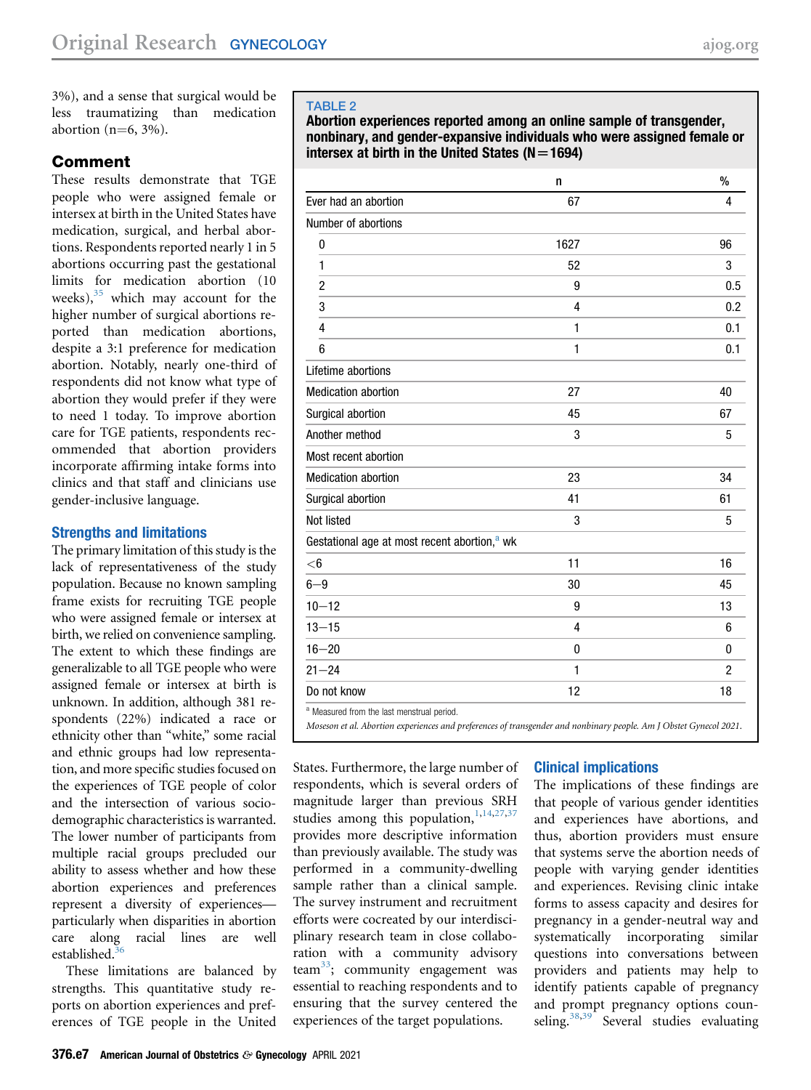3%), and a sense that surgical would be less traumatizing than medication abortion  $(n=6, 3\%)$ .

## Comment

These results demonstrate that TGE people who were assigned female or intersex at birth in the United States have medication, surgical, and herbal abortions. Respondents reported nearly 1 in 5 abortions occurring past the gestational limits for medication abortion (10 weeks), $35$  which may account for the higher number of surgical abortions reported than medication abortions, despite a 3:1 preference for medication abortion. Notably, nearly one-third of respondents did not know what type of abortion they would prefer if they were to need 1 today. To improve abortion care for TGE patients, respondents recommended that abortion providers incorporate affirming intake forms into clinics and that staff and clinicians use gender-inclusive language.

#### Strengths and limitations

The primary limitation of this study is the lack of representativeness of the study population. Because no known sampling frame exists for recruiting TGE people who were assigned female or intersex at birth, we relied on convenience sampling. The extent to which these findings are generalizable to all TGE people who were assigned female or intersex at birth is unknown. In addition, although 381 respondents (22%) indicated a race or ethnicity other than "white," some racial and ethnic groups had low representation, and more specific studies focused on the experiences of TGE people of color and the intersection of various sociodemographic characteristics is warranted. The lower number of participants from multiple racial groups precluded our ability to assess whether and how these abortion experiences and preferences represent a diversity of experiences particularly when disparities in abortion care along racial lines are well established.<sup>3</sup>

These limitations are balanced by strengths. This quantitative study reports on abortion experiences and preferences of TGE people in the United

#### <span id="page-6-0"></span>TABLE 2

Abortion experiences reported among an online sample of transgender, nonbinary, and gender-expansive individuals who were assigned female or intersex at birth in the United States ( $N=1694$ )

|                                                          | n            | $\frac{0}{0}$  |
|----------------------------------------------------------|--------------|----------------|
| Ever had an abortion                                     | 67           | 4              |
| Number of abortions                                      |              |                |
| 0                                                        | 1627         | 96             |
| 1                                                        | 52           | 3              |
| 2                                                        | 9            | 0.5            |
| 3                                                        | 4            | 0.2            |
| 4                                                        | $\mathbf{1}$ | 0.1            |
| 6                                                        | $\mathbf{1}$ | 0.1            |
| Lifetime abortions                                       |              |                |
| <b>Medication abortion</b>                               | 27           | 40             |
| Surgical abortion                                        | 45           | 67             |
| Another method                                           | 3            | 5              |
| Most recent abortion                                     |              |                |
| <b>Medication abortion</b>                               | 23           | 34             |
| Surgical abortion                                        | 41           | 61             |
| Not listed                                               | 3            | 5              |
| Gestational age at most recent abortion, <sup>a</sup> wk |              |                |
| $<$ 6                                                    | 11           | 16             |
| $6 - 9$                                                  | 30           | 45             |
| $10 - 12$                                                | 9            | 13             |
| $13 - 15$                                                | 4            | 6              |
| $16 - 20$                                                | 0            | $\mathbf{0}$   |
| $21 - 24$                                                | $\mathbf{1}$ | $\overline{2}$ |
| Do not know                                              | 12           | 18             |
| <sup>a</sup> Measured from the last menstrual period.    |              |                |

<span id="page-6-1"></span>Moseson et al. Abortion experiences and preferences of transgender and nonbinary people. Am J Obstet Gynecol 2021.

States. Furthermore, the large number of respondents, which is several orders of magnitude larger than previous SRH studies among this population,  $1,14,27,37$  $1,14,27,37$  $1,14,27,37$  $1,14,27,37$ provides more descriptive information than previously available. The study was performed in a community-dwelling sample rather than a clinical sample. The survey instrument and recruitment efforts were cocreated by our interdisciplinary research team in close collaboration with a community advisory team $33$ ; community engagement was essential to reaching respondents and to ensuring that the survey centered the experiences of the target populations.

## Clinical implications

The implications of these findings are that people of various gender identities and experiences have abortions, and thus, abortion providers must ensure that systems serve the abortion needs of people with varying gender identities and experiences. Revising clinic intake forms to assess capacity and desires for pregnancy in a gender-neutral way and systematically incorporating similar questions into conversations between providers and patients may help to identify patients capable of pregnancy and prompt pregnancy options coun-seling.<sup>[38,](#page-9-29)[39](#page-9-30)</sup> Several studies evaluating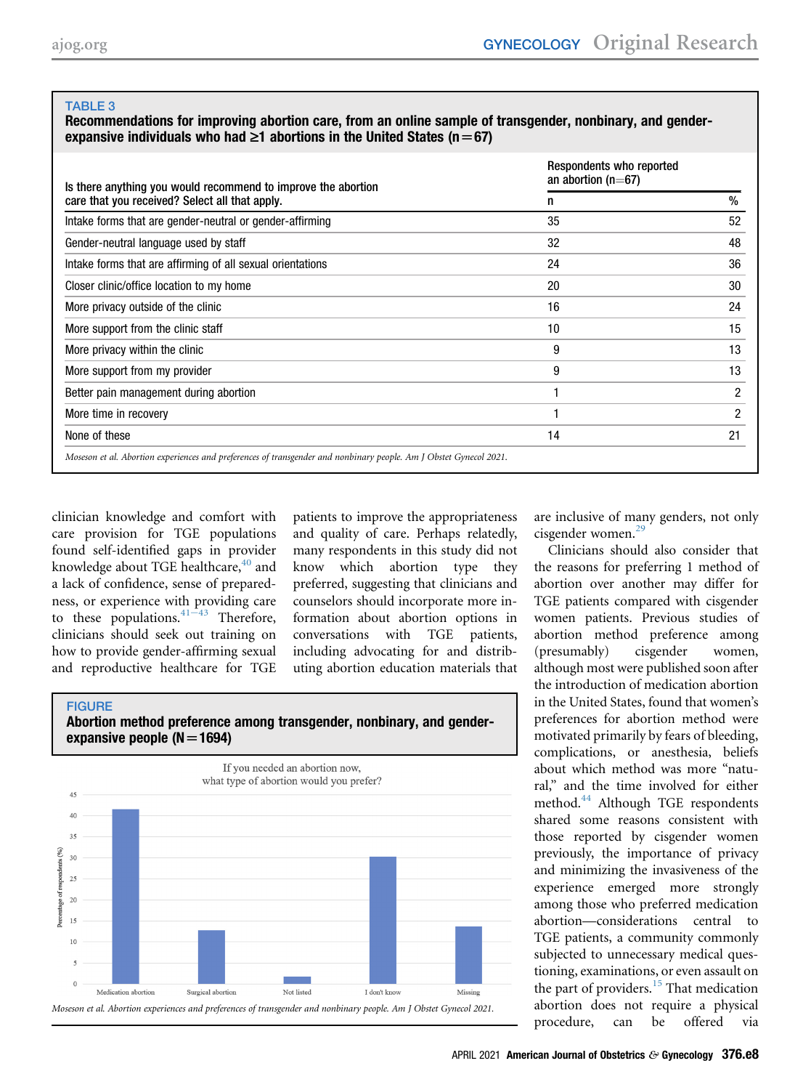#### <span id="page-7-0"></span>Recommendations for improving abortion care, from an online sample of transgender, nonbinary, and genderexpansive individuals who had  $\geq 1$  abortions in the United States (n=67)

| Respondents who reported<br>an abortion ( $n=67$ ) |                |  |
|----------------------------------------------------|----------------|--|
| n                                                  | $\%$           |  |
| 35                                                 | 52             |  |
| 32                                                 | 48             |  |
| 24                                                 | 36             |  |
| 20                                                 | 30             |  |
| 16                                                 | 24             |  |
| 10                                                 | 15             |  |
| 9                                                  | 13             |  |
| 9                                                  | 13             |  |
|                                                    | $\overline{2}$ |  |
|                                                    | 2              |  |
| 14                                                 | 21             |  |
|                                                    |                |  |

clinician knowledge and comfort with care provision for TGE populations found self-identified gaps in provider knowledge about TGE healthcare,<sup>[40](#page-9-31)</sup> and a lack of confidence, sense of preparedness, or experience with providing care to these populations.  $41-43$  $41-43$  Therefore, clinicians should seek out training on how to provide gender-affirming sexual and reproductive healthcare for TGE

patients to improve the appropriateness and quality of care. Perhaps relatedly, many respondents in this study did not know which abortion type they preferred, suggesting that clinicians and counselors should incorporate more information about abortion options in conversations with TGE patients, including advocating for and distributing abortion education materials that

<span id="page-7-1"></span>



are inclusive of many genders, not only cisgender women.[29](#page-9-19)

Clinicians should also consider that the reasons for preferring 1 method of abortion over another may differ for TGE patients compared with cisgender women patients. Previous studies of abortion method preference among (presumably) cisgender women, although most were published soon after the introduction of medication abortion in the United States, found that women's preferences for abortion method were motivated primarily by fears of bleeding, complications, or anesthesia, beliefs about which method was more "natural," and the time involved for either method.<sup>[44](#page-9-33)</sup> Although TGE respondents shared some reasons consistent with those reported by cisgender women previously, the importance of privacy and minimizing the invasiveness of the experience emerged more strongly among those who preferred medication abortion—considerations central to TGE patients, a community commonly subjected to unnecessary medical questioning, examinations, or even assault on the part of providers. $15$  That medication abortion does not require a physical procedure, can be offered via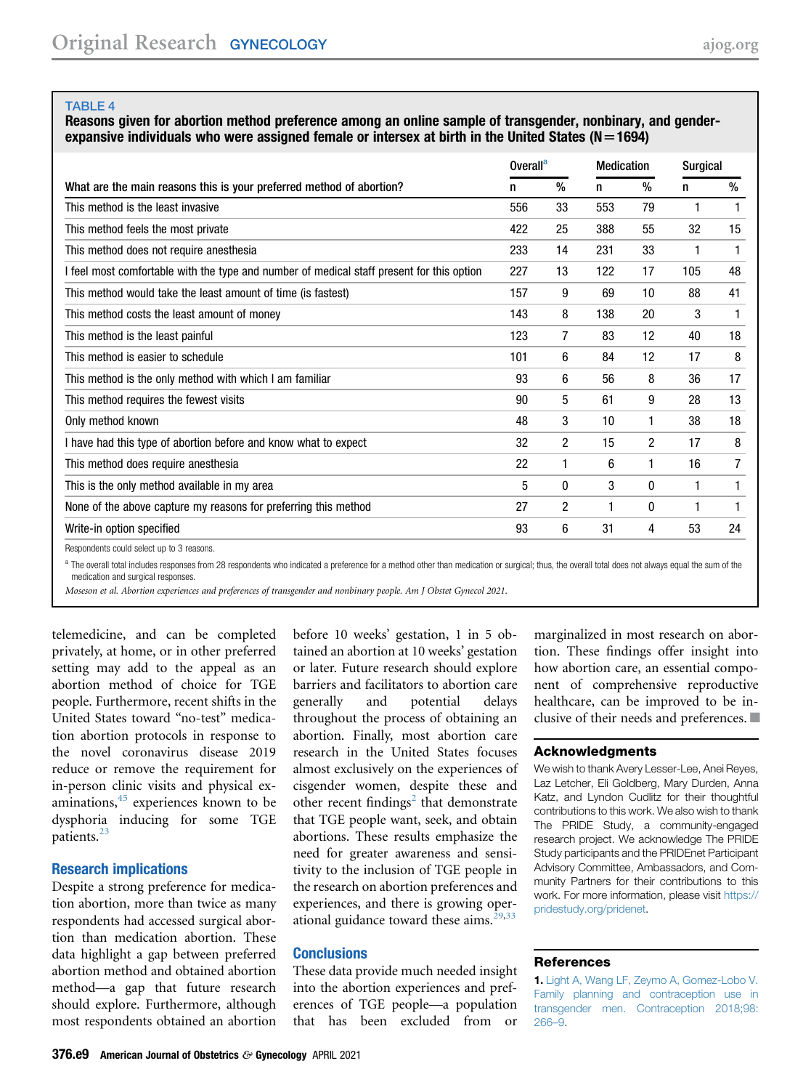<span id="page-8-1"></span>Reasons given for abortion method preference among an online sample of transgender, nonbinary, and genderexpansive individuals who were assigned female or intersex at birth in the United States ( $N=1694$ )

|                                                                                           | Overall <sup>a</sup> |      | <b>Medication</b> |    | <b>Surgical</b> |      |
|-------------------------------------------------------------------------------------------|----------------------|------|-------------------|----|-----------------|------|
| What are the main reasons this is your preferred method of abortion?                      |                      | $\%$ | n                 | %  | n               | $\%$ |
| This method is the least invasive                                                         | 556                  | 33   | 553               | 79 |                 |      |
| This method feels the most private                                                        | 422                  | 25   | 388               | 55 | 32              | 15   |
| This method does not require anesthesia                                                   | 233                  | 14   | 231               | 33 | 1               | 1    |
| I feel most comfortable with the type and number of medical staff present for this option | 227                  | 13   | 122               | 17 | 105             | 48   |
| This method would take the least amount of time (is fastest)                              | 157                  | 9    | 69                | 10 | 88              | 41   |
| This method costs the least amount of money                                               | 143                  | 8    | 138               | 20 | 3               | 1    |
| This method is the least painful                                                          | 123                  | 7    | 83                | 12 | 40              | 18   |
| This method is easier to schedule                                                         | 101                  | 6    | 84                | 12 | 17              | 8    |
| This method is the only method with which I am familiar                                   | 93                   | 6    | 56                | 8  | 36              | 17   |
| This method requires the fewest visits                                                    | 90                   | 5    | 61                | 9  | 28              | 13   |
| Only method known                                                                         | 48                   | 3    | 10                | 1  | 38              | 18   |
| I have had this type of abortion before and know what to expect                           | 32                   | 2    | 15                | 2  | 17              | 8    |
| This method does require anesthesia                                                       | 22                   |      | 6                 | 1  | 16              | 7    |
| This is the only method available in my area                                              | 5                    | 0    | 3                 | 0  | 1               | 1    |
| None of the above capture my reasons for preferring this method                           | 27                   | 2    |                   | 0  |                 | 1    |
| Write-in option specified                                                                 | 93                   | 6    | 31                | 4  | 53              | 24   |
|                                                                                           |                      |      |                   |    |                 |      |

Respondents could select up to 3 reasons.

<span id="page-8-2"></span><sup>a</sup> The overall total includes responses from 28 respondents who indicated a preference for a method other than medication or surgical; thus, the overall total does not always equal the sum of the medication and surgical responses.

Moseson et al. Abortion experiences and preferences of transgender and nonbinary people. Am J Obstet Gynecol 2021.

telemedicine, and can be completed privately, at home, or in other preferred setting may add to the appeal as an abortion method of choice for TGE people. Furthermore, recent shifts in the United States toward "no-test" medication abortion protocols in response to the novel coronavirus disease 2019 reduce or remove the requirement for in-person clinic visits and physical examinations, $45$  experiences known to be dysphoria inducing for some TGE patients.<sup>[23](#page-9-17)</sup>

#### Research implications

Despite a strong preference for medication abortion, more than twice as many respondents had accessed surgical abortion than medication abortion. These data highlight a gap between preferred abortion method and obtained abortion method—a gap that future research should explore. Furthermore, although most respondents obtained an abortion

before 10 weeks' gestation, 1 in 5 obtained an abortion at 10 weeks' gestation or later. Future research should explore barriers and facilitators to abortion care generally and potential delays throughout the process of obtaining an abortion. Finally, most abortion care research in the United States focuses almost exclusively on the experiences of cisgender women, despite these and other recent findings<sup>[2](#page-9-10)</sup> that demonstrate that TGE people want, seek, and obtain abortions. These results emphasize the need for greater awareness and sensitivity to the inclusion of TGE people in the research on abortion preferences and experiences, and there is growing operational guidance toward these aims. $29,33$  $29,33$ 

#### **Conclusions**

These data provide much needed insight into the abortion experiences and preferences of TGE people—a population that has been excluded from or

marginalized in most research on abortion. These findings offer insight into how abortion care, an essential component of comprehensive reproductive healthcare, can be improved to be inclusive of their needs and preferences.  $\blacksquare$ 

#### Acknowledgments

We wish to thank Avery Lesser-Lee, Anei Reyes, Laz Letcher, Eli Goldberg, Mary Durden, Anna Katz, and Lyndon Cudlitz for their thoughtful contributions to this work. We also wish to thank The PRIDE Study, a community-engaged research project. We acknowledge The PRIDE Study participants and the PRIDEnet Participant Advisory Committee, Ambassadors, and Community Partners for their contributions to this work. For more information, please visit [https://](https://pridestudy.org/pridenet) [pridestudy.org/pridenet.](https://pridestudy.org/pridenet)

#### <span id="page-8-0"></span>References

1. [Light A, Wang LF, Zeymo A, Gomez-Lobo V.](http://refhub.elsevier.com/S0002-9378(20)31126-1/sref1) [Family planning and contraception use in](http://refhub.elsevier.com/S0002-9378(20)31126-1/sref1) [transgender men. Contraception 2018;98:](http://refhub.elsevier.com/S0002-9378(20)31126-1/sref1) [266](http://refhub.elsevier.com/S0002-9378(20)31126-1/sref1)–9.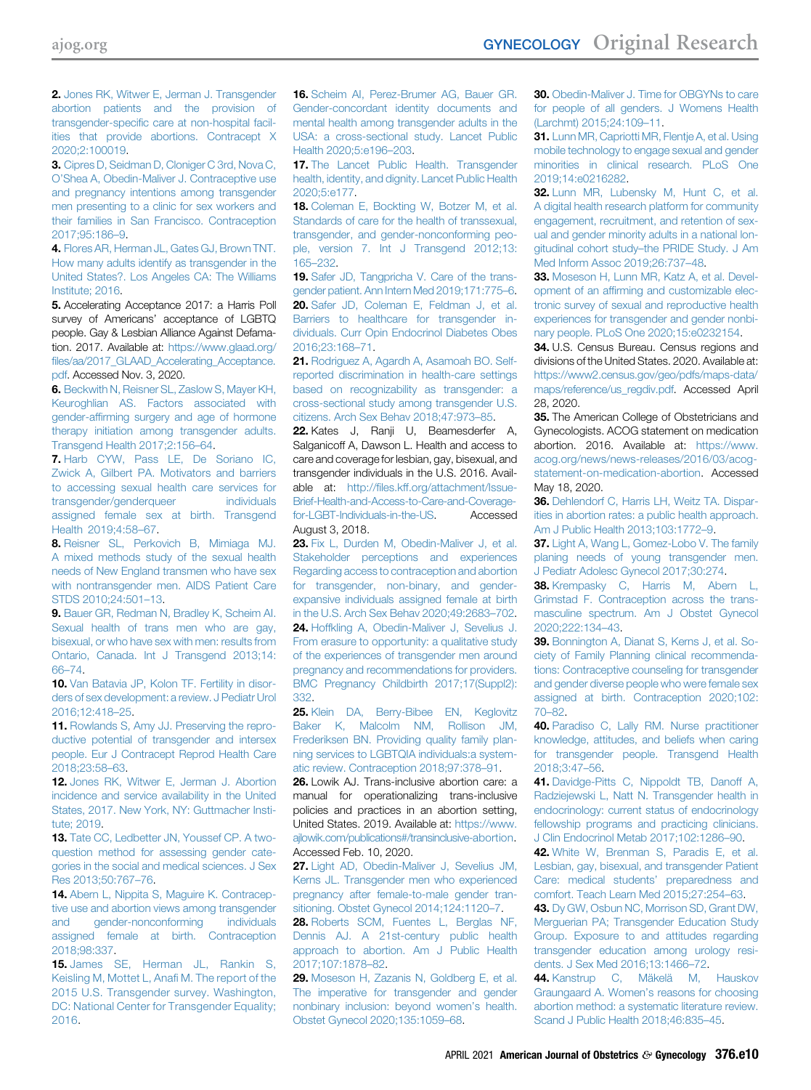<span id="page-9-10"></span>2. [Jones RK, Witwer E, Jerman J. Transgender](http://refhub.elsevier.com/S0002-9378(20)31126-1/sref2) [abortion patients and the provision of](http://refhub.elsevier.com/S0002-9378(20)31126-1/sref2) transgender-specifi[c care at non-hospital facil](http://refhub.elsevier.com/S0002-9378(20)31126-1/sref2)[ities that provide abortions. Contracept X](http://refhub.elsevier.com/S0002-9378(20)31126-1/sref2) [2020;2:100019](http://refhub.elsevier.com/S0002-9378(20)31126-1/sref2).

<span id="page-9-4"></span>3. [Cipres D, Seidman D, Cloniger C 3rd, Nova C,](http://refhub.elsevier.com/S0002-9378(20)31126-1/sref3) O'[Shea A, Obedin-Maliver J. Contraceptive use](http://refhub.elsevier.com/S0002-9378(20)31126-1/sref3) [and pregnancy intentions among transgender](http://refhub.elsevier.com/S0002-9378(20)31126-1/sref3) [men presenting to a clinic for sex workers and](http://refhub.elsevier.com/S0002-9378(20)31126-1/sref3) [their families in San Francisco. Contraception](http://refhub.elsevier.com/S0002-9378(20)31126-1/sref3) [2017;95:186](http://refhub.elsevier.com/S0002-9378(20)31126-1/sref3)–9.

<span id="page-9-0"></span>4. [Flores AR, Herman JL, Gates GJ, Brown TNT.](http://refhub.elsevier.com/S0002-9378(20)31126-1/sref4) [How many adults identify as transgender in the](http://refhub.elsevier.com/S0002-9378(20)31126-1/sref4) [United States?. Los Angeles CA: The Williams](http://refhub.elsevier.com/S0002-9378(20)31126-1/sref4) [Institute; 2016](http://refhub.elsevier.com/S0002-9378(20)31126-1/sref4).

<span id="page-9-1"></span>5. Accelerating Acceptance 2017: a Harris Poll survey of Americans' acceptance of LGBTQ people. Gay & Lesbian Alliance Against Defamation. 2017. Available at: [https://www.glaad.org/](https://www.glaad.org/files/aa/2017_GLAAD_Accelerating_Acceptance.pdf) fi[les/aa/2017\\_GLAAD\\_Accelerating\\_Acceptance.](https://www.glaad.org/files/aa/2017_GLAAD_Accelerating_Acceptance.pdf) [pdf.](https://www.glaad.org/files/aa/2017_GLAAD_Accelerating_Acceptance.pdf) Accessed Nov. 3, 2020.

<span id="page-9-2"></span>6. [Beckwith N, Reisner SL, Zaslow S, Mayer KH,](http://refhub.elsevier.com/S0002-9378(20)31126-1/sref6) [Keuroghlian AS. Factors associated with](http://refhub.elsevier.com/S0002-9378(20)31126-1/sref6) gender-affi[rming surgery and age of hormone](http://refhub.elsevier.com/S0002-9378(20)31126-1/sref6) [therapy initiation among transgender adults.](http://refhub.elsevier.com/S0002-9378(20)31126-1/sref6) [Transgend Health 2017;2:156](http://refhub.elsevier.com/S0002-9378(20)31126-1/sref6)–64.

<span id="page-9-3"></span>7. [Harb CYW, Pass LE, De Soriano IC,](http://refhub.elsevier.com/S0002-9378(20)31126-1/sref7) [Zwick A, Gilbert PA. Motivators and barriers](http://refhub.elsevier.com/S0002-9378(20)31126-1/sref7) [to accessing sexual health care services for](http://refhub.elsevier.com/S0002-9378(20)31126-1/sref7) [transgender/genderqueer individuals](http://refhub.elsevier.com/S0002-9378(20)31126-1/sref7) [assigned female sex at birth. Transgend](http://refhub.elsevier.com/S0002-9378(20)31126-1/sref7) [Health 2019;4:58](http://refhub.elsevier.com/S0002-9378(20)31126-1/sref7)–67.

<span id="page-9-5"></span>8. [Reisner SL, Perkovich B, Mimiaga MJ.](http://refhub.elsevier.com/S0002-9378(20)31126-1/sref8) [A mixed methods study of the sexual health](http://refhub.elsevier.com/S0002-9378(20)31126-1/sref8) [needs of New England transmen who have sex](http://refhub.elsevier.com/S0002-9378(20)31126-1/sref8) [with nontransgender men. AIDS Patient Care](http://refhub.elsevier.com/S0002-9378(20)31126-1/sref8) [STDS 2010;24:501](http://refhub.elsevier.com/S0002-9378(20)31126-1/sref8)–13.

<span id="page-9-6"></span>9. [Bauer GR, Redman N, Bradley K, Scheim AI.](http://refhub.elsevier.com/S0002-9378(20)31126-1/sref9) [Sexual health of trans men who are gay,](http://refhub.elsevier.com/S0002-9378(20)31126-1/sref9) [bisexual, or who have sex with men: results from](http://refhub.elsevier.com/S0002-9378(20)31126-1/sref9) [Ontario, Canada. Int J Transgend 2013;14:](http://refhub.elsevier.com/S0002-9378(20)31126-1/sref9) [66](http://refhub.elsevier.com/S0002-9378(20)31126-1/sref9)–74.

<span id="page-9-7"></span>10. [Van Batavia JP, Kolon TF. Fertility in disor](http://refhub.elsevier.com/S0002-9378(20)31126-1/sref10)[ders of sex development: a review. J Pediatr Urol](http://refhub.elsevier.com/S0002-9378(20)31126-1/sref10) [2016;12:418](http://refhub.elsevier.com/S0002-9378(20)31126-1/sref10)–25.

<span id="page-9-8"></span>11. [Rowlands S, Amy JJ. Preserving the repro](http://refhub.elsevier.com/S0002-9378(20)31126-1/sref11)[ductive potential of transgender and intersex](http://refhub.elsevier.com/S0002-9378(20)31126-1/sref11) [people. Eur J Contracept Reprod Health Care](http://refhub.elsevier.com/S0002-9378(20)31126-1/sref11) [2018;23:58](http://refhub.elsevier.com/S0002-9378(20)31126-1/sref11)–63.

<span id="page-9-9"></span>12. Jones RK, Witwer E, Jerman J, Abortion [incidence and service availability in the United](http://refhub.elsevier.com/S0002-9378(20)31126-1/sref12) [States, 2017. New York, NY: Guttmacher Insti](http://refhub.elsevier.com/S0002-9378(20)31126-1/sref12)[tute; 2019.](http://refhub.elsevier.com/S0002-9378(20)31126-1/sref12)

<span id="page-9-11"></span>13. [Tate CC, Ledbetter JN, Youssef CP. A two](http://refhub.elsevier.com/S0002-9378(20)31126-1/sref13)[question method for assessing gender cate](http://refhub.elsevier.com/S0002-9378(20)31126-1/sref13)[gories in the social and medical sciences. J Sex](http://refhub.elsevier.com/S0002-9378(20)31126-1/sref13) [Res 2013;50:767](http://refhub.elsevier.com/S0002-9378(20)31126-1/sref13)–76.

<span id="page-9-12"></span>14. [Abern L, Nippita S, Maguire K. Contracep](http://refhub.elsevier.com/S0002-9378(20)31126-1/sref14)[tive use and abortion views among transgender](http://refhub.elsevier.com/S0002-9378(20)31126-1/sref14) [and gender-nonconforming individuals](http://refhub.elsevier.com/S0002-9378(20)31126-1/sref14) [assigned female at birth. Contraception](http://refhub.elsevier.com/S0002-9378(20)31126-1/sref14) [2018;98:337.](http://refhub.elsevier.com/S0002-9378(20)31126-1/sref14)

<span id="page-9-13"></span>15. [James SE, Herman JL, Rankin S,](http://refhub.elsevier.com/S0002-9378(20)31126-1/sref15) [Keisling M, Mottet L, Ana](http://refhub.elsevier.com/S0002-9378(20)31126-1/sref15)fi M. The report of the [2015 U.S. Transgender survey. Washington,](http://refhub.elsevier.com/S0002-9378(20)31126-1/sref15) [DC: National Center for Transgender Equality;](http://refhub.elsevier.com/S0002-9378(20)31126-1/sref15) [2016](http://refhub.elsevier.com/S0002-9378(20)31126-1/sref15).

16. [Scheim AI, Perez-Brumer AG, Bauer GR.](http://refhub.elsevier.com/S0002-9378(20)31126-1/sref16) [Gender-concordant identity documents and](http://refhub.elsevier.com/S0002-9378(20)31126-1/sref16) [mental health among transgender adults in the](http://refhub.elsevier.com/S0002-9378(20)31126-1/sref16) [USA: a cross-sectional study. Lancet Public](http://refhub.elsevier.com/S0002-9378(20)31126-1/sref16) [Health 2020;5:e196](http://refhub.elsevier.com/S0002-9378(20)31126-1/sref16)–203.

<span id="page-9-14"></span>17. [The Lancet Public Health. Transgender](http://refhub.elsevier.com/S0002-9378(20)31126-1/sref17) [health, identity, and dignity. Lancet Public Health](http://refhub.elsevier.com/S0002-9378(20)31126-1/sref17) [2020;5:e177.](http://refhub.elsevier.com/S0002-9378(20)31126-1/sref17)

18. [Coleman E, Bockting W, Botzer M, et al.](http://refhub.elsevier.com/S0002-9378(20)31126-1/sref18) [Standards of care for the health of transsexual,](http://refhub.elsevier.com/S0002-9378(20)31126-1/sref18) [transgender, and gender-nonconforming peo](http://refhub.elsevier.com/S0002-9378(20)31126-1/sref18)[ple, version 7. Int J Transgend 2012;13:](http://refhub.elsevier.com/S0002-9378(20)31126-1/sref18) 165–[232.](http://refhub.elsevier.com/S0002-9378(20)31126-1/sref18)

<span id="page-9-15"></span>19. Safer JD. Tangpricha V. Care of the trans[gender patient. Ann Intern Med 2019;171:775](http://refhub.elsevier.com/S0002-9378(20)31126-1/sref19)–6. 20. [Safer JD, Coleman E, Feldman J, et al.](http://refhub.elsevier.com/S0002-9378(20)31126-1/sref20) [Barriers to healthcare for transgender in](http://refhub.elsevier.com/S0002-9378(20)31126-1/sref20)[dividuals. Curr Opin Endocrinol Diabetes Obes](http://refhub.elsevier.com/S0002-9378(20)31126-1/sref20) [2016;23:168](http://refhub.elsevier.com/S0002-9378(20)31126-1/sref20)–71.

<span id="page-9-16"></span>21. [Rodriguez A, Agardh A, Asamoah BO. Self](http://refhub.elsevier.com/S0002-9378(20)31126-1/sref21)[reported discrimination in health-care settings](http://refhub.elsevier.com/S0002-9378(20)31126-1/sref21) [based on recognizability as transgender: a](http://refhub.elsevier.com/S0002-9378(20)31126-1/sref21) [cross-sectional study among transgender U.S.](http://refhub.elsevier.com/S0002-9378(20)31126-1/sref21) [citizens. Arch Sex Behav 2018;47:973](http://refhub.elsevier.com/S0002-9378(20)31126-1/sref21)–85.

22. Kates J, Ranji U, Beamesderfer A, Salganicoff A, Dawson L. Health and access to care and coverage for lesbian, gay, bisexual, and transgender individuals in the U.S. 2016. Available at: http://fi[les.kff.org/attachment/Issue-](http://files.kff.org/attachment/Issue-Brief-Health-and-Access-to-Care-and-Coverage-for-LGBT-Individuals-in-the-US)[Brief-Health-and-Access-to-Care-and-Coverage](http://files.kff.org/attachment/Issue-Brief-Health-and-Access-to-Care-and-Coverage-for-LGBT-Individuals-in-the-US)[for-LGBT-Individuals-in-the-US](http://files.kff.org/attachment/Issue-Brief-Health-and-Access-to-Care-and-Coverage-for-LGBT-Individuals-in-the-US). Accessed August 3, 2018.

<span id="page-9-17"></span>23. [Fix L, Durden M, Obedin-Maliver J, et al.](http://refhub.elsevier.com/S0002-9378(20)31126-1/sref23) [Stakeholder perceptions and experiences](http://refhub.elsevier.com/S0002-9378(20)31126-1/sref23) [Regarding access to contraception and abortion](http://refhub.elsevier.com/S0002-9378(20)31126-1/sref23) [for transgender, non-binary, and gender](http://refhub.elsevier.com/S0002-9378(20)31126-1/sref23)[expansive individuals assigned female at birth](http://refhub.elsevier.com/S0002-9378(20)31126-1/sref23) [in the U.S. Arch Sex Behav 2020;49:2683](http://refhub.elsevier.com/S0002-9378(20)31126-1/sref23)–702. 24. [Hoffkling A, Obedin-Maliver J, Sevelius J.](http://refhub.elsevier.com/S0002-9378(20)31126-1/sref24) [From erasure to opportunity: a qualitative study](http://refhub.elsevier.com/S0002-9378(20)31126-1/sref24) [of the experiences of transgender men around](http://refhub.elsevier.com/S0002-9378(20)31126-1/sref24) [pregnancy and recommendations for providers.](http://refhub.elsevier.com/S0002-9378(20)31126-1/sref24) [BMC Pregnancy Childbirth 2017;17\(Suppl2\):](http://refhub.elsevier.com/S0002-9378(20)31126-1/sref24) [332](http://refhub.elsevier.com/S0002-9378(20)31126-1/sref24).

25. [Klein DA, Berry-Bibee EN, Keglovitz](http://refhub.elsevier.com/S0002-9378(20)31126-1/sref25) [Baker K, Malcolm NM, Rollison JM,](http://refhub.elsevier.com/S0002-9378(20)31126-1/sref25) [Frederiksen BN. Providing quality family plan](http://refhub.elsevier.com/S0002-9378(20)31126-1/sref25)[ning services to LGBTQIA individuals:a system](http://refhub.elsevier.com/S0002-9378(20)31126-1/sref25)[atic review. Contraception 2018;97:378](http://refhub.elsevier.com/S0002-9378(20)31126-1/sref25)–91.

26. Lowik AJ. Trans-inclusive abortion care: a manual for operationalizing trans-inclusive policies and practices in an abortion setting, United States. 2019. Available at: [https://www.](https://www.ajlowik.com/publications#/transinclusive-abortion) [ajlowik.com/publications#/transinclusive-abortion.](https://www.ajlowik.com/publications#/transinclusive-abortion) Accessed Feb. 10, 2020.

<span id="page-9-27"></span>27. [Light AD, Obedin-Maliver J, Sevelius JM,](http://refhub.elsevier.com/S0002-9378(20)31126-1/sref27) [Kerns JL. Transgender men who experienced](http://refhub.elsevier.com/S0002-9378(20)31126-1/sref27) [pregnancy after female-to-male gender tran](http://refhub.elsevier.com/S0002-9378(20)31126-1/sref27)[sitioning. Obstet Gynecol 2014;124:1120](http://refhub.elsevier.com/S0002-9378(20)31126-1/sref27)–7.

<span id="page-9-18"></span>28. [Roberts SCM, Fuentes L, Berglas NF,](http://refhub.elsevier.com/S0002-9378(20)31126-1/sref28) [Dennis AJ. A 21st-century public health](http://refhub.elsevier.com/S0002-9378(20)31126-1/sref28) [approach to abortion. Am J Public Health](http://refhub.elsevier.com/S0002-9378(20)31126-1/sref28) [2017;107:1878](http://refhub.elsevier.com/S0002-9378(20)31126-1/sref28)–82.

<span id="page-9-19"></span>29. [Moseson H, Zazanis N, Goldberg E, et al.](http://refhub.elsevier.com/S0002-9378(20)31126-1/sref29) [The imperative for transgender and gender](http://refhub.elsevier.com/S0002-9378(20)31126-1/sref29) [nonbinary inclusion: beyond women](http://refhub.elsevier.com/S0002-9378(20)31126-1/sref29)'s health. [Obstet Gynecol 2020;135:1059](http://refhub.elsevier.com/S0002-9378(20)31126-1/sref29)–68.

<span id="page-9-20"></span>30. [Obedin-Maliver J. Time for OBGYNs to care](http://refhub.elsevier.com/S0002-9378(20)31126-1/sref30) [for people of all genders. J Womens Health](http://refhub.elsevier.com/S0002-9378(20)31126-1/sref30) [\(Larchmt\) 2015;24:109](http://refhub.elsevier.com/S0002-9378(20)31126-1/sref30)–11.

<span id="page-9-21"></span>31. [Lunn MR, Capriotti MR, Flentje A, et al. Using](http://refhub.elsevier.com/S0002-9378(20)31126-1/sref31) [mobile technology to engage sexual and gender](http://refhub.elsevier.com/S0002-9378(20)31126-1/sref31) [minorities in clinical research. PLoS One](http://refhub.elsevier.com/S0002-9378(20)31126-1/sref31) [2019;14:e0216282.](http://refhub.elsevier.com/S0002-9378(20)31126-1/sref31)

<span id="page-9-22"></span>32. [Lunn MR, Lubensky M, Hunt C, et al.](http://refhub.elsevier.com/S0002-9378(20)31126-1/sref32) [A digital health research platform for community](http://refhub.elsevier.com/S0002-9378(20)31126-1/sref32) [engagement, recruitment, and retention of sex](http://refhub.elsevier.com/S0002-9378(20)31126-1/sref32)[ual and gender minority adults in a national lon](http://refhub.elsevier.com/S0002-9378(20)31126-1/sref32)gitudinal cohort study–[the PRIDE Study. J Am](http://refhub.elsevier.com/S0002-9378(20)31126-1/sref32) [Med Inform Assoc 2019;26:737](http://refhub.elsevier.com/S0002-9378(20)31126-1/sref32)–48.

<span id="page-9-23"></span>33. [Moseson H, Lunn MR, Katz A, et al. Devel](http://refhub.elsevier.com/S0002-9378(20)31126-1/sref33)opment of an affi[rming and customizable elec](http://refhub.elsevier.com/S0002-9378(20)31126-1/sref33)[tronic survey of sexual and reproductive health](http://refhub.elsevier.com/S0002-9378(20)31126-1/sref33) [experiences for transgender and gender nonbi](http://refhub.elsevier.com/S0002-9378(20)31126-1/sref33)[nary people. PLoS One 2020;15:e0232154.](http://refhub.elsevier.com/S0002-9378(20)31126-1/sref33)

<span id="page-9-24"></span>34. U.S. Census Bureau. Census regions and divisions of the United States. 2020. Available at: [https://www2.census.gov/geo/pdfs/maps-data/](https://www2.census.gov/geo/pdfs/maps-data/maps/reference/us_regdiv.pdf) [maps/reference/us\\_regdiv.pdf.](https://www2.census.gov/geo/pdfs/maps-data/maps/reference/us_regdiv.pdf) Accessed April 28, 2020.

<span id="page-9-25"></span>35. The American College of Obstetricians and Gynecologists. ACOG statement on medication abortion. 2016. Available at: [https://www.](https://www.acog.org/news/news-releases/2016/03/acog-statement-on-medication-abortion) [acog.org/news/news-releases/2016/03/acog](https://www.acog.org/news/news-releases/2016/03/acog-statement-on-medication-abortion)[statement-on-medication-abortion.](https://www.acog.org/news/news-releases/2016/03/acog-statement-on-medication-abortion) Accessed May 18, 2020.

<span id="page-9-26"></span>36. [Dehlendorf C, Harris LH, Weitz TA. Dispar](http://refhub.elsevier.com/S0002-9378(20)31126-1/sref36)[ities in abortion rates: a public health approach.](http://refhub.elsevier.com/S0002-9378(20)31126-1/sref36) [Am J Public Health 2013;103:1772](http://refhub.elsevier.com/S0002-9378(20)31126-1/sref36)–9.

<span id="page-9-28"></span>37. [Light A, Wang L, Gomez-Lobo V. The family](http://refhub.elsevier.com/S0002-9378(20)31126-1/sref37) [planing needs of young transgender men.](http://refhub.elsevier.com/S0002-9378(20)31126-1/sref37) [J Pediatr Adolesc Gynecol 2017;30:274.](http://refhub.elsevier.com/S0002-9378(20)31126-1/sref37)

<span id="page-9-29"></span>38. [Krempasky C, Harris M, Abern L,](http://refhub.elsevier.com/S0002-9378(20)31126-1/sref38) [Grimstad F. Contraception across the trans](http://refhub.elsevier.com/S0002-9378(20)31126-1/sref38)[masculine spectrum. Am J Obstet Gynecol](http://refhub.elsevier.com/S0002-9378(20)31126-1/sref38) [2020;222:134](http://refhub.elsevier.com/S0002-9378(20)31126-1/sref38)–43.

<span id="page-9-30"></span>39. [Bonnington A, Dianat S, Kerns J, et al. So](http://refhub.elsevier.com/S0002-9378(20)31126-1/sref39)[ciety of Family Planning clinical recommenda](http://refhub.elsevier.com/S0002-9378(20)31126-1/sref39)[tions: Contraceptive counseling for transgender](http://refhub.elsevier.com/S0002-9378(20)31126-1/sref39) [and gender diverse people who were female sex](http://refhub.elsevier.com/S0002-9378(20)31126-1/sref39) [assigned at birth. Contraception 2020;102:](http://refhub.elsevier.com/S0002-9378(20)31126-1/sref39) 70–[82](http://refhub.elsevier.com/S0002-9378(20)31126-1/sref39).

<span id="page-9-31"></span>40. [Paradiso C, Lally RM. Nurse practitioner](http://refhub.elsevier.com/S0002-9378(20)31126-1/sref40) [knowledge, attitudes, and beliefs when caring](http://refhub.elsevier.com/S0002-9378(20)31126-1/sref40) [for transgender people. Transgend Health](http://refhub.elsevier.com/S0002-9378(20)31126-1/sref40) [2018;3:47](http://refhub.elsevier.com/S0002-9378(20)31126-1/sref40)–56.

<span id="page-9-32"></span>41. Davidge-Pitts C. Nippoldt TB, Danoff A, [Radziejewski L, Natt N. Transgender health in](http://refhub.elsevier.com/S0002-9378(20)31126-1/sref41) [endocrinology: current status of endocrinology](http://refhub.elsevier.com/S0002-9378(20)31126-1/sref41) [fellowship programs and practicing clinicians.](http://refhub.elsevier.com/S0002-9378(20)31126-1/sref41) [J Clin Endocrinol Metab 2017;102:1286](http://refhub.elsevier.com/S0002-9378(20)31126-1/sref41)–90.

42. [White W, Brenman S, Paradis E, et al.](http://refhub.elsevier.com/S0002-9378(20)31126-1/sref42) [Lesbian, gay, bisexual, and transgender Patient](http://refhub.elsevier.com/S0002-9378(20)31126-1/sref42) [Care: medical students](http://refhub.elsevier.com/S0002-9378(20)31126-1/sref42)' preparedness and [comfort. Teach Learn Med 2015;27:254](http://refhub.elsevier.com/S0002-9378(20)31126-1/sref42)–63.

43. [Dy GW, Osbun NC, Morrison SD, Grant DW,](http://refhub.elsevier.com/S0002-9378(20)31126-1/sref43) [Merguerian PA; Transgender Education Study](http://refhub.elsevier.com/S0002-9378(20)31126-1/sref43) [Group. Exposure to and attitudes regarding](http://refhub.elsevier.com/S0002-9378(20)31126-1/sref43) [transgender education among urology resi](http://refhub.elsevier.com/S0002-9378(20)31126-1/sref43)[dents. J Sex Med 2016;13:1466](http://refhub.elsevier.com/S0002-9378(20)31126-1/sref43)–72.

<span id="page-9-33"></span>44. [Kanstrup C, Mäkelä M, Hauskov](http://refhub.elsevier.com/S0002-9378(20)31126-1/sref44) [Graungaard A. Women](http://refhub.elsevier.com/S0002-9378(20)31126-1/sref44)'s reasons for choosing [abortion method: a systematic literature review.](http://refhub.elsevier.com/S0002-9378(20)31126-1/sref44) [Scand J Public Health 2018;46:835](http://refhub.elsevier.com/S0002-9378(20)31126-1/sref44)–45.